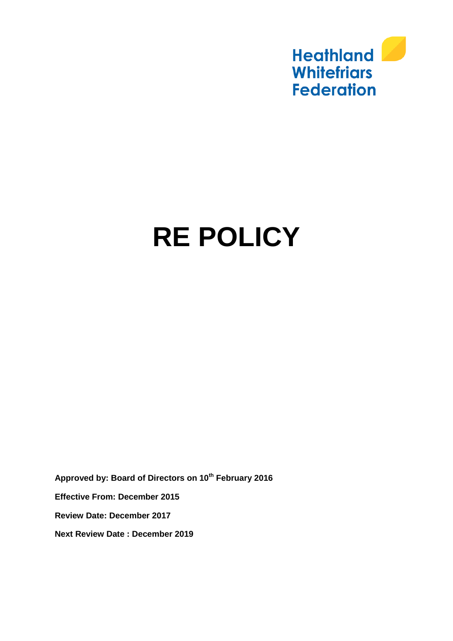

# **RE POLICY**

**Approved by: Board of Directors on 10th February 2016 Effective From: December 2015 Review Date: December 2017 Next Review Date : December 2019**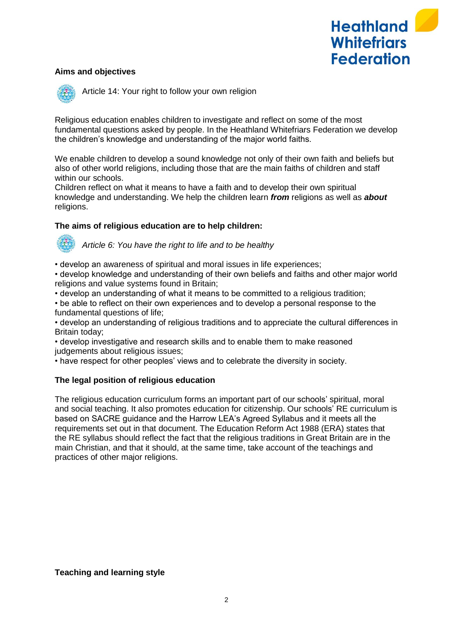

## **Aims and objectives**



Article 14: Your right to follow your own religion

Religious education enables children to investigate and reflect on some of the most fundamental questions asked by people. In the Heathland Whitefriars Federation we develop the children's knowledge and understanding of the major world faiths.

We enable children to develop a sound knowledge not only of their own faith and beliefs but also of other world religions, including those that are the main faiths of children and staff within our schools.

Children reflect on what it means to have a faith and to develop their own spiritual knowledge and understanding. We help the children learn *from* religions as well as *about* religions.

#### **The aims of religious education are to help children:**

*Article 6: You have the right to life and to be healthy*

• develop an awareness of spiritual and moral issues in life experiences;

• develop knowledge and understanding of their own beliefs and faiths and other major world religions and value systems found in Britain;

• develop an understanding of what it means to be committed to a religious tradition;

• be able to reflect on their own experiences and to develop a personal response to the fundamental questions of life;

• develop an understanding of religious traditions and to appreciate the cultural differences in Britain today;

• develop investigative and research skills and to enable them to make reasoned judgements about religious issues;

• have respect for other peoples' views and to celebrate the diversity in society.

## **The legal position of religious education**

The religious education curriculum forms an important part of our schools' spiritual, moral and social teaching. It also promotes education for citizenship. Our schools' RE curriculum is based on SACRE guidance and the Harrow LEA's Agreed Syllabus and it meets all the requirements set out in that document. The Education Reform Act 1988 (ERA) states that the RE syllabus should reflect the fact that the religious traditions in Great Britain are in the main Christian, and that it should, at the same time, take account of the teachings and practices of other major religions.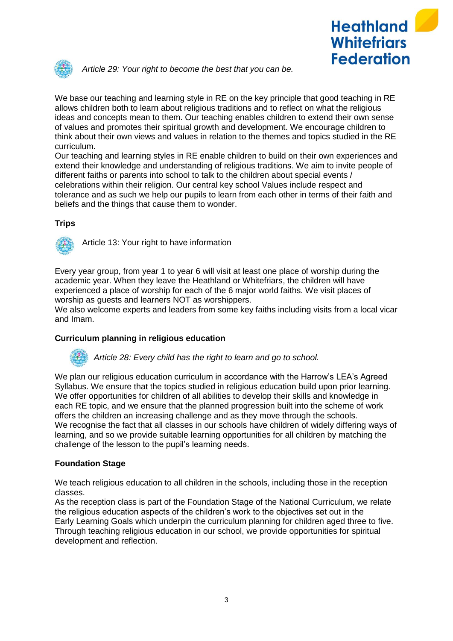



*Article 29: Your right to become the best that you can be.*

We base our teaching and learning style in RE on the key principle that good teaching in RE allows children both to learn about religious traditions and to reflect on what the religious ideas and concepts mean to them. Our teaching enables children to extend their own sense of values and promotes their spiritual growth and development. We encourage children to think about their own views and values in relation to the themes and topics studied in the RE curriculum.

Our teaching and learning styles in RE enable children to build on their own experiences and extend their knowledge and understanding of religious traditions. We aim to invite people of different faiths or parents into school to talk to the children about special events / celebrations within their religion. Our central key school Values include respect and tolerance and as such we help our pupils to learn from each other in terms of their faith and beliefs and the things that cause them to wonder.

#### **Trips**



Article 13: Your right to have information

Every year group, from year 1 to year 6 will visit at least one place of worship during the academic year. When they leave the Heathland or Whitefriars, the children will have experienced a place of worship for each of the 6 major world faiths. We visit places of worship as guests and learners NOT as worshippers.

We also welcome experts and leaders from some key faiths including visits from a local vicar and Imam.

## **Curriculum planning in religious education**

*Article 28: Every child has the right to learn and go to school.*

We plan our religious education curriculum in accordance with the Harrow's LEA's Agreed Syllabus. We ensure that the topics studied in religious education build upon prior learning. We offer opportunities for children of all abilities to develop their skills and knowledge in each RE topic, and we ensure that the planned progression built into the scheme of work offers the children an increasing challenge and as they move through the schools. We recognise the fact that all classes in our schools have children of widely differing ways of learning, and so we provide suitable learning opportunities for all children by matching the challenge of the lesson to the pupil's learning needs.

## **Foundation Stage**

We teach religious education to all children in the schools, including those in the reception classes.

As the reception class is part of the Foundation Stage of the National Curriculum, we relate the religious education aspects of the children's work to the objectives set out in the Early Learning Goals which underpin the curriculum planning for children aged three to five. Through teaching religious education in our school, we provide opportunities for spiritual development and reflection.